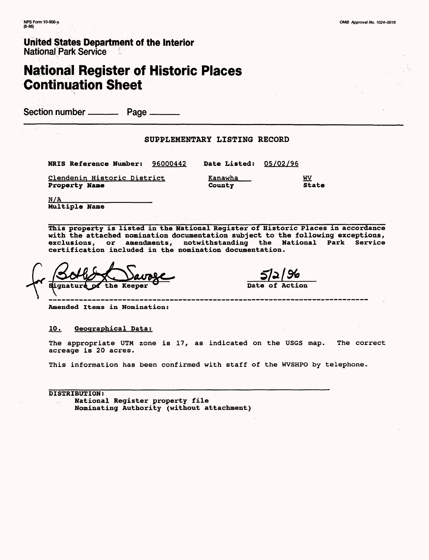# **National Register of Historic Places Continuation Sheet**

Section number \_\_\_\_\_\_\_\_\_\_\_ Page \_

#### SUPPLEMENTARY LISTING RECORD

| NRIS Reference Number:      | 96000442 | <b>Date Listed:</b> | 05/02/96 |
|-----------------------------|----------|---------------------|----------|
| Clendenin Historic District |          | Kanawha             | WV       |
| <b>Property Name</b>        |          | County              | State    |

 $N/A$ Multiple Name

This property is listed in the National Register of Historic Places in accordance with the attached nomination documentation subject to the following exceptions, exclusions, or amendments, notwithstanding the National Park Service certification included in the nomination documentation.

**Signatu**: the

Date of Action

------------

Amended Items in Nomination:

10. Geographical Data:

The appropriate UTM zone is 17, as indicated on the USGS map. The correct acreage is 20 acres.

This information has been confirmed with staff of the WVSHPO by telephone.

DISTRIBUTION: National Register property file Nominating Authority (without attachment)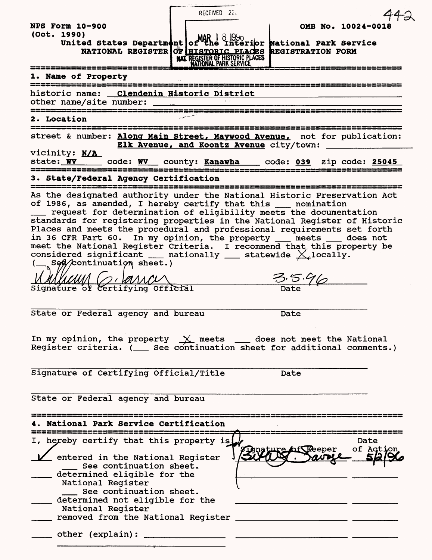| RECEIVED 226                                                                                                                                                                                                                                                                                                                                                                                                                                                                                                                                                                                                                            |
|-----------------------------------------------------------------------------------------------------------------------------------------------------------------------------------------------------------------------------------------------------------------------------------------------------------------------------------------------------------------------------------------------------------------------------------------------------------------------------------------------------------------------------------------------------------------------------------------------------------------------------------------|
| <b>NPS Form 10-900</b><br>OMB No. 10024-0018                                                                                                                                                                                                                                                                                                                                                                                                                                                                                                                                                                                            |
| (Oct. 1990)<br>United States Department of MAR   8 1990<br>United States Department of The Interior National Park Service<br>NATIONAL REGISTER OF HISTORIC PLACES REGISTRATION FORM<br>NATIONAL PARK SERVICE                                                                                                                                                                                                                                                                                                                                                                                                                            |
| 1. Name of Property                                                                                                                                                                                                                                                                                                                                                                                                                                                                                                                                                                                                                     |
| historic name: Clendenin Historic District<br>۔<br>ماہ کے بعد کا محمد میں کہ جب کا بات کا محمد ہوں ہے جب محمد ہوں کہ اس کے بعد محمد محمد محمد محمد محمد محمد محمد<br>محمد ہوں کہ محمد محمد محمد ہوں کہ محمد ہوں ہوں محمد ہوں کہ محمد ہوں اس کی سے محمد محمد محمد محمد محمد                                                                                                                                                                                                                                                                                                                                                              |
| 2. Location                                                                                                                                                                                                                                                                                                                                                                                                                                                                                                                                                                                                                             |
| street & number: Along Main Street, Maywood Avenue, not for publication:<br>Elk Avenue, and Koontz Avenue city/town:<br>vicinity: N/A                                                                                                                                                                                                                                                                                                                                                                                                                                                                                                   |
| state: WV _____ code: WV __ county: Kanawha ___ code: 039 zip code: 25045                                                                                                                                                                                                                                                                                                                                                                                                                                                                                                                                                               |
| 3. State/Federal Agency Certification<br>-----------------------------------                                                                                                                                                                                                                                                                                                                                                                                                                                                                                                                                                            |
| As the designated authority under the National Historic Preservation Act<br>of 1986, as amended, I hereby certify that this ___ nomination<br>__ request for determination of eligibility meets the documentation<br>standards for registering properties in the National Register of Historic<br>Places and meets the procedural and professional requirements set forth<br>in 36 CFR Part 60. In my opinion, the property __ meets __ does not<br>meet the National Register Criteria. I recommend that this property be<br>considered significant $\_\_$ nationally $\_\_$ statewide $\chi$ locally.<br>(__ Seg/continuation sheet.) |
| MMMMM GIRMAN<br>Signature of Certifying Official<br>$\frac{3.5.96}{\text{Date}}$                                                                                                                                                                                                                                                                                                                                                                                                                                                                                                                                                        |
|                                                                                                                                                                                                                                                                                                                                                                                                                                                                                                                                                                                                                                         |
| State or Federal agency and bureau<br>Date                                                                                                                                                                                                                                                                                                                                                                                                                                                                                                                                                                                              |
| In my opinion, the property $\underline{\chi}$ meets ___ does not meet the National Register criteria. (___ See continuation sheet for additional comments.)                                                                                                                                                                                                                                                                                                                                                                                                                                                                            |
| Signature of Certifying Official/Title<br>Date                                                                                                                                                                                                                                                                                                                                                                                                                                                                                                                                                                                          |
| State or Federal agency and bureau                                                                                                                                                                                                                                                                                                                                                                                                                                                                                                                                                                                                      |
| 4. National Park Service Certification                                                                                                                                                                                                                                                                                                                                                                                                                                                                                                                                                                                                  |
| I, hereby certify that this property is<br>Date<br>SDinature of Reeper<br>of Action<br>entered in the National Register<br>See continuation sheet.<br>determined eligible for the<br>National Register<br>See continuation sheet.<br>determined not eligible for the<br>National Register<br>removed from the National Register<br>and the control of the control of the control of the control of the control of                                                                                                                                                                                                                       |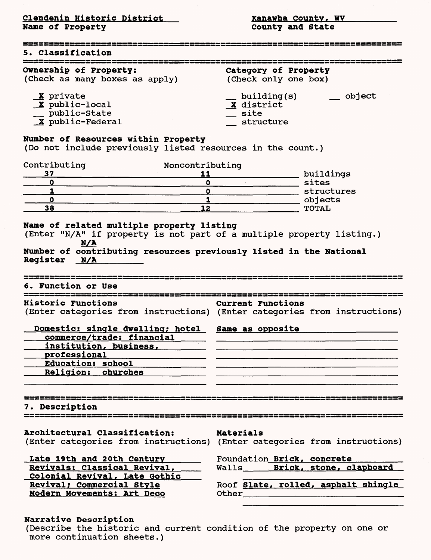<u>Clendenin Historic District Number of Kanawha County, WV </u> Name of Property **County** County and State

| <b>5. Classification</b>                                                                                                                                                                   |                                                                                                                                                                                                                                                                      |
|--------------------------------------------------------------------------------------------------------------------------------------------------------------------------------------------|----------------------------------------------------------------------------------------------------------------------------------------------------------------------------------------------------------------------------------------------------------------------|
| Ownership of Property:<br>(Check as many boxes as apply)                                                                                                                                   | Category of Property<br>(Check only one box)                                                                                                                                                                                                                         |
| X private<br>X public-local<br>public-State<br>X public-Federal                                                                                                                            | object<br>building(s)<br>X district<br>site<br>structure                                                                                                                                                                                                             |
| Number of Resources within Property<br>(Do not include previously listed resources in the count.)                                                                                          |                                                                                                                                                                                                                                                                      |
| Contributing<br>Noncontributing<br>37<br>11<br>$\mathbf o$<br>O<br>1<br>$\mathbf 0$                                                                                                        | buildings<br>sites<br>structures                                                                                                                                                                                                                                     |
| $\bullet$<br>$\mathbf{1}$<br>38<br>12                                                                                                                                                      | objects<br><b>TOTAL</b>                                                                                                                                                                                                                                              |
| Number of contributing resources previously listed in the National<br>Register N/A<br>6. Function or Use                                                                                   |                                                                                                                                                                                                                                                                      |
| _________________________________<br><b>Historic Functions</b><br>Domestic: single dwelling; hotel Same as opposite<br>commerce/trade: financial<br>institution, business,<br>professional | <b>Current Functions</b><br>(Enter categories from instructions) (Enter categories from instructions)                                                                                                                                                                |
| Education: school                                                                                                                                                                          |                                                                                                                                                                                                                                                                      |
| <b>Religion: churches</b>                                                                                                                                                                  |                                                                                                                                                                                                                                                                      |
| 7. Description                                                                                                                                                                             | <u>, an an an 2013 (11) 2004 an an 110, an an an 110, an 111, an 111, an 111, an 111, an 111, an 111, an 1</u>                                                                                                                                                       |
| Architectural Classification:                                                                                                                                                              | Materials<br>(Enter categories from instructions) (Enter categories from instructions)                                                                                                                                                                               |
| Late 19th and 20th Century<br>Revivals: Classical Revival,                                                                                                                                 | Foundation Brick, concrete                                                                                                                                                                                                                                           |
| Colonial Revival, Late Gothic                                                                                                                                                              | Walls_______ Brick, stone, clapboard                                                                                                                                                                                                                                 |
| Revival; Commercial Style<br>Modern Movements: Art Deco                                                                                                                                    | Roof Slate, rolled, asphalt shingle<br>Other design and the contract of the contract of the contract of the contract of the contract of the contract of the contract of the contract of the contract of the contract of the contract of the contract of the contract |
|                                                                                                                                                                                            |                                                                                                                                                                                                                                                                      |

# Narrative Description

(Describe the historic and current condition of the property on one or more continuation sheets.)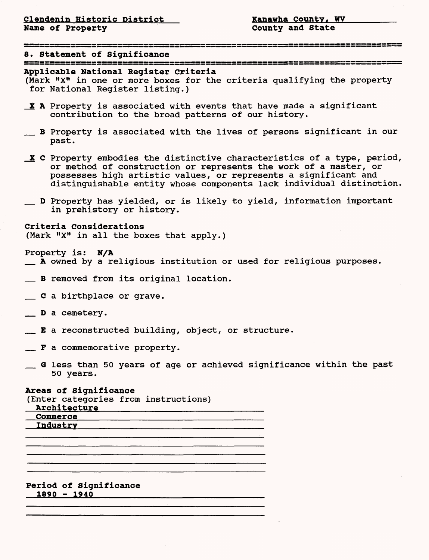8. Statement of Significance

# Applicable National Register Criteria

(Mark "X" in one or more boxes for the criteria qualifying the property for National Register listing.)

- X A Property is associated with events that have made a significant contribution to the broad patterns of our history.
- \_ B Property is associated with the lives of persons significant in our past.
- $X$  C Property embodies the distinctive characteristics of a type, period, or method of construction or represents the work of a master, or possesses high artistic values, or represents a significant and distinguishable entity whose components lack individual distinction.
- \_ D Property has yielded, or is likely to yield, information important in prehistory or history.

Criteria Considerations (Mark "X" in all the boxes that apply.)

Property is: N/A

- \_ A owned by a religious institution or used for religious purposes.
- \_ B removed from its original location.
- \_ C a birthplace or grave.
- \_\_ D a cemetery.
- \_ E a reconstructed building, object, or structure.
- $\mathbb{F}$  a commemorative property.
- \_ G less than 50 years of age or achieved significance within the past 50 years.

#### Areas of Significance

(Enter categories from instructions)

| <b>Architecture</b> |  |
|---------------------|--|
| Commerce            |  |
| Industry            |  |

#### Period of Significance 1890 - 1940\_\_\_\_\_\_\_\_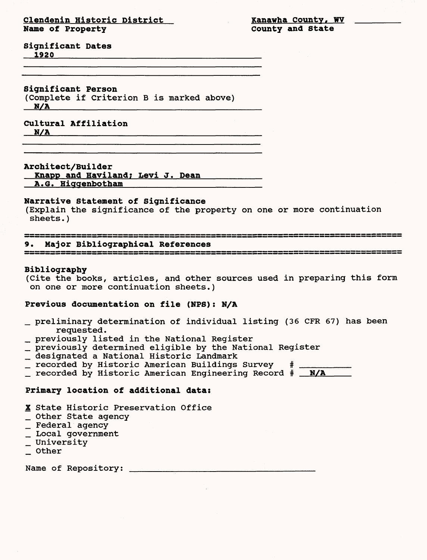### **Clendenin Historic District 1988 County, WI All Manuscript Ranawha County, WI All Manuscript Ranawha County, WI All Manuscript Ranawha County, WI All Manuscript Ranawha County and State Name of Property**

**Significant Dates \_1920**

**Significant Person** (Complete if Criterion B is marked above)

 $N/A$ 

**Cultural Affiliation N/A\_\_\_\_\_\_\_\_\_\_**

Architect/Builder

Knapp and Haviland; Levi J. Dean **A.G. Higgenbotham**

#### **Narrative Statement of Significance**

(Explain the significance of the property on one or more continuation sheets . )

#### 

**9. Major Bibliographical References**

#### **Bibliography**

(Cite the books, articles, and other sources used in preparing this form on one or more continuation sheets.)

#### **Previous documentation on file (NPS): N/A**

- \_ preliminary determination of individual listing (36 CFR 67) has been requested.
- \_ previously listed in the National Register
- \_ previously determined eligible by the National Register
- \_ designated a National Historic Landmark
- $\_$  recorded by Historic American Buildings Survey
- \_ recorded by Historic American Engineering Record # \_ N/A

#### **Primary location of additional data:**

X State Historic Preservation Office

- \_ Other State agency
- \_ Federal agency
- \_ Local government
- \_ University
- \_ Other

Name of Repository: \_\_\_\_\_\_\_\_\_\_\_\_\_\_\_\_\_\_\_\_\_\_\_\_\_\_\_\_\_\_\_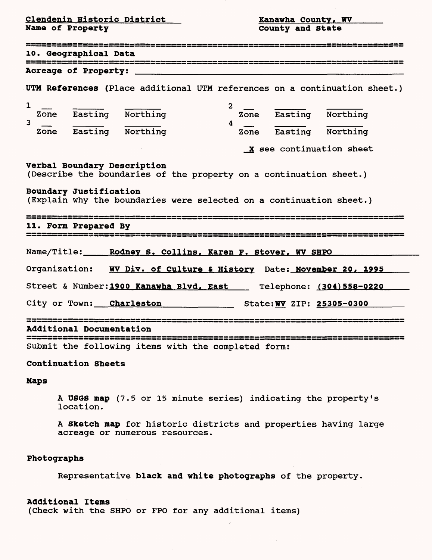Clendenin Historic District Kanawha County, WV

County and State

| ---------------------------------<br>10. Geographical Data                                                                                 |
|--------------------------------------------------------------------------------------------------------------------------------------------|
| Acreage of Property:                                                                                                                       |
| UTM References (Place additional UTM references on a continuation sheet.)                                                                  |
| $\mathbf{1}$<br>$\mathbf{2}$<br>Zone Easting Northing<br>Zone Easting Northing<br>3<br>4<br>Zone Easting Northing<br>Zone Easting Northing |
| X see continuation sheet                                                                                                                   |
| Verbal Boundary Description<br>(Describe the boundaries of the property on a continuation sheet.)                                          |
| Boundary Justification<br>(Explain why the boundaries were selected on a continuation sheet.)                                              |
| 11. Form Prepared By                                                                                                                       |
| Name/Title: Rodney S. Collins, Karen F. Stover, WV SHPO                                                                                    |
| Organization: WV Div. of Culture & History Date: November 20, 1995                                                                         |
| Street & Number: 1900 Kanawha Blvd, East __ Telephone: (304) 558-0220                                                                      |
| City or Town: Charleston State: WV ZIP: 25305-0300                                                                                         |
| <b>Additional Documentation</b>                                                                                                            |
| Submit the following items with the completed form:                                                                                        |

# Continuation Sheets

## Maps

A US6S map (7.5 or 15 minute series) indicating the property's location.

A Sketch map for historic districts and properties having large acreage or numerous resources.

### Photographs

Representative black and white photographs of the property.

## Additional Items

(Check with the SHPO or FPO for any additional items)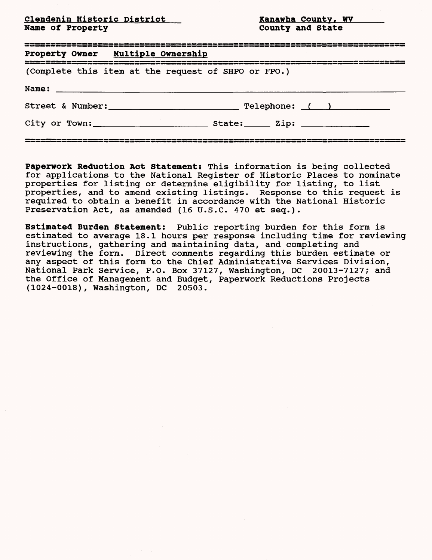<u>Clendenin Historic District County, Word (Nanawha County, WV)</u><br>Name of Property **Name County and State** Name of Property

| Property Owner Multiple Ownership                                                                                               |                                                                                                                                     |
|---------------------------------------------------------------------------------------------------------------------------------|-------------------------------------------------------------------------------------------------------------------------------------|
| (Complete this item at the request of SHPO or FPO.)                                                                             |                                                                                                                                     |
|                                                                                                                                 |                                                                                                                                     |
|                                                                                                                                 |                                                                                                                                     |
| لحكة كالحسر وسروعت والغريسة بسخ بسخ ومخصب ونقر وسنوا فننا والمناصب والتربية ومعالمة والمناسبة والمناصب فتنابعت والثروان والأخاذ | است والله والقاربي والتي والتي المتركب المراقب المراسي والتي المنار المنار المنار المتركبات والتي والمراقص المنار والتي يتمن والمرا |

Paperwork Reduction Act Statement: This information is being collected for applications to the National Register of Historic Places to nominate properties for listing or determine eligibility for listing, to list properties, and to amend existing listings. Response to this request is required to obtain a benefit in accordance with the National Historic Preservation Act, as amended (16 U.S.C. 470 et seq.).

Estimated Burden Statement: Public reporting burden for this form is estimated to average 18.1 hours per response including time for reviewing instructions, gathering and maintaining data, and completing and reviewing the form. Direct comments regarding this burden estimate or any aspect of this form to the Chief Administrative Services Division, National Park Service, P.O. Box 37127, Washington, DC 20013-7127; and the Office of Management and Budget, Paperwork Reductions Projects (1024-0018), Washington, DC 20503.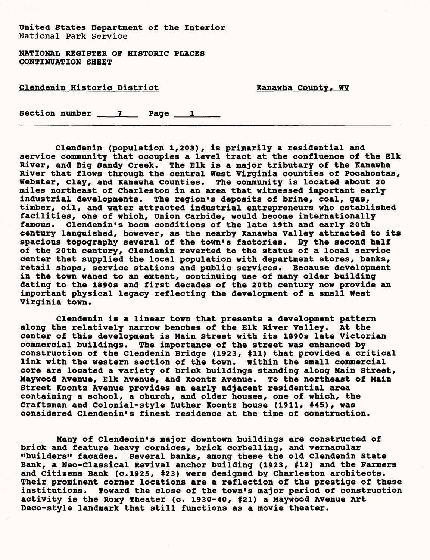NATIONAL REGISTER OF HISTORIC PLACES CONTINUATION SHEET

# Clendenin Historic District Nanawha County, WV

Section number  $\begin{array}{ccc} 7 & 2 & \end{array}$  Page  $\begin{array}{ccc} 1 & \end{array}$ 

Clendenin (population 1,203), is primarily a residential and service community that occupies a level tract at the confluence of the Elk River, and Big Sandy Creek. The Elk is a major tributary of the Kanawha River that flows through the central West Virginia counties of Pocahontas, Webster, Clay, and Kanawha Counties. The community is located about 20 miles northeast of Charleston in an area that witnessed important early industrial developments. The region's deposits of brine, coal, gas, timber, oil, and water attracted industrial entrepreneurs who established facilities, one of which, Union Carbide, would become internationally famous. Clendenin's boom conditions of the late 19th and early 20th century languished, however, as the nearby Kanawha Valley attracted to its spacious topography several of the town's factories. By the second half of the 20th century, Clendenin reverted to the status of a local service center that supplied the local population with department stores, banks, retail shops, service stations and public services. Because development in the town waned to an extent, continuing use of many older building dating to the 1890s and first decades of the 20th century now provide an important physical legacy reflecting the development of a small West Virginia town.

Clendenin is a linear town that presents a development pattern along the relatively narrow benches of the Elk River Valley. At the center of this development is Main Street with its 1890s late Victorian commercial buildings. The importance of the street was enhanced by construction of the Clendenin Bridge (1923, #11) that provided a critical link with the western section of the town. Within the small commercial core are located a variety of brick buildings standing along Main Street, Maywood Avenue, Elk Avenue, and Koontz Avenue. To the northeast of Main Street Koontz Avenue provides an early adjacent residential area containing a school, a church, and older houses, one of which, the Craftsman and Colonial-style Luther Koontz house (1911, #45), was considered Clendenin's finest residence at the time of construction.

Many of Clendenin's major downtown buildings are constructed of brick and feature heavy cornices, brick corbelling, and vernacular "builders" facades. Several banks, among these the old Clendenin State Bank, a Neo-classical Revival anchor building (1923, #12) and the Farmers and citizens Bank (c.1925, #23) were designed by Charleston architects. Their prominent corner locations are a reflection of the prestige of these institutions. Toward the close of the town's major period of construction activity is the Roxy Theater (c. 1930-40, #21) a Maywood Avenue Art Deco-style landmark that still functions as a movie theater.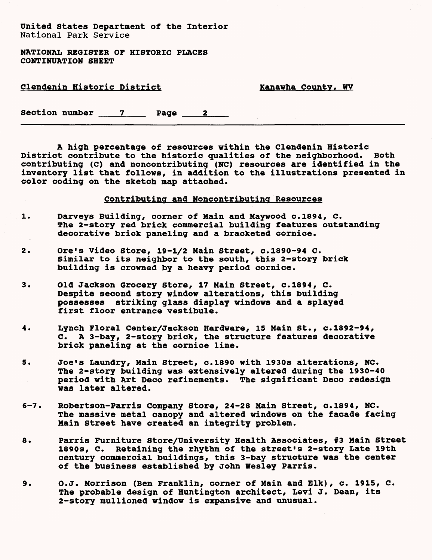NATIONAL REGISTER OF HISTORIC PLACES CONTINUATION SHEET

# Clendenin Historic District Nanawha County, WV

Section number  $\frac{7}{2}$  Page  $\frac{2}{2}$ 

A high percentage of resources within the Clendenin Historic District contribute to the historic qualities of the neighborhood. Both contributing (C) and noncontributing (NC) resources are identified in the inventory list that follows, in addition to the illustrations presented in color coding on the sketch map attached.

# Contributing and Noncontributing Resources

- 1. Darveys Building, corner of Main and Maywood c.1894, C. The 2-story red brick commercial building features outstanding decorative brick paneling and a bracketed cornice.
- 2. Ore's Video Store, 19-1/2 Main Street, c.1890-94 C. Similar to its neighbor to the south, this 2-story brick building is crowned by a heavy period cornice.
- 3. Old Jackson Grocery Store, 17 Main Street, c.1894, C. Despite second story window alterations, this building possesses striking glass display windows and a splayed first floor entrance vestibule.
- 4. Lynch Floral Center/Jackson Hardware, 15 Main St., c.1892-94, C. A 3-bay, 2-story brick, the structure features decorative brick paneling at the cornice line.
- 5. Joe's Laundry, Main Street, c.1890 with 1930s alterations, NC. The 2-story building was extensively altered during the 1930-40 period with Art Deco refinements. The significant Deco redesign was later altered.
- 6-7. Robertson-Parris Company Store, 24-28 Main Street, c.1894, NC. The massive metal canopy and altered windows on the facade facing Main Street have created an integrity problem.
- 8. Parris Furniture Store/University Health Associates, #3 Main Street 1890s, C. Retaining the rhythm of the street's 2-story Late 19th century commercial buildings, this 3-bay structure was the center of the business established by John Wesley Parris.
- 9. O.J. Morrison (Ben Franklin, corner of Main and Elk), c. 1915, C. The probable design of Huntington architect, Levi J. Dean, its 2-story mullioned window is expansive and unusual.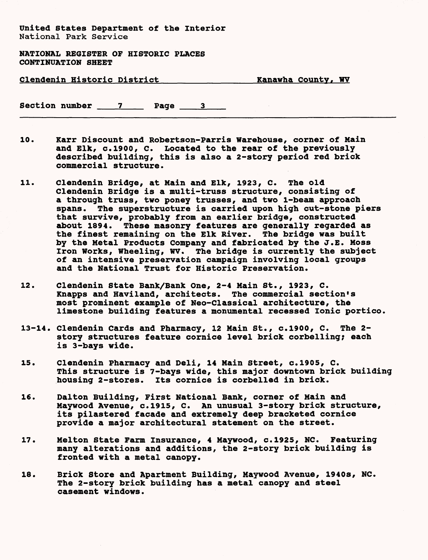**NATIONAL REGISTER OF HISTORIC PLACES CONTINUATION SHEET**

| <b>Clendenin Historic District</b> |  |  |  |
|------------------------------------|--|--|--|
|                                    |  |  |  |

Kanawha County, WV

Section number 7 Page 3

- 10. Karr Discount and Robertson-Parris Warehouse, corner of Main and Elk, c.1900, C. Located to the rear of the previously described building, this is also a 2-story period red brick commercial structure.
- 11. Clendenin Bridge, at Main and Elk, 1923, C. The old Clendenin Bridge is a multi-truss structure, consisting of a through truss, two poney trusses, and two I-beam approach spans. The superstructure is carried upon high cut-stone piers that survive, probably from an earlier bridge, constructed about 1894. These masonry features are generally regarded as the finest remaining on the Elk River. The bridge was built by the Metal Products Company and fabricated by the J.E. Moss Iron Works, Wheeling, WV. The bridge is currently the subject of an intensive preservation campaign involving local groups and the National Trust for Historic Preservation.
- 12. Clendenin State Bank/Bank One, 2-4 Main St., 1923, C. Knapps and Haviland, architects. The commercial section's most prominent example of Neo-Classical architecture, the limestone building features a monumental recessed Ionic portico.
- 13-14. Clendenin Cards and Pharmacy, 12 Main St., c.1900, C. The 2 story structures feature cornice level brick corbelling; each is 3-bays wide.
- 15. Clendenin Pharmacy and Deli, 14 Main Street, c.1905, C. This structure is 7-bays wide, this major downtown brick building housing 2-stores. Its cornice is corbelled in brick.
- 16. Dalton Building, First National Bank, corner of Main and Maywood Avenue, c.1915, C. An unusual 3-story brick structure, its pilastered facade and extremely deep bracketed cornice provide a major architectural statement on the street.
- 17. Melton State Farm Insurance, 4 Maywood, c.1925, NC. Featuring many alterations and additions, the 2-story brick building is fronted with a metal canopy.
- 18. Brick Store and Apartment Building, Maywood Avenue, 1940s, NC. The 2-story brick building has a metal canopy and steel casement windows.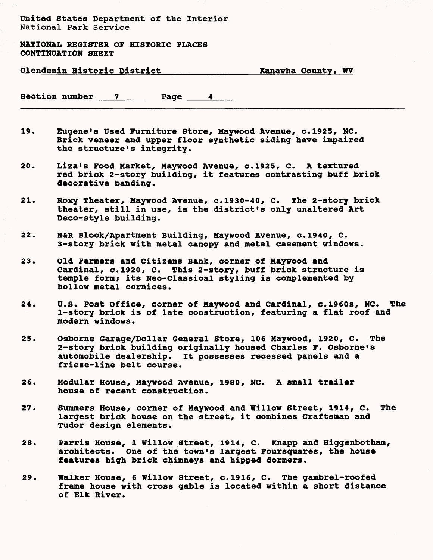NATIONAL REGISTER OF HISTORIC PLACES CONTINUATION SHEET

| <b>Clendenin Historic District</b> |
|------------------------------------|
|------------------------------------|

Kanawha County, WV

Section number  $\begin{array}{c} 7 \end{array}$  Page  $\begin{array}{c} 4 \end{array}$ 

- 19. Eugene's Used Furniture Store, Maywood Avenue, c.1925, NC. Brick veneer and upper floor synthetic siding have impaired the structure's integrity.
- 20. Liza's Food Market, Maywood Avenue, c.1925, C. A textured red brick 2-story building, it features contrasting buff brick decorative banding.
- 21. Roxy Theater, Maywood Avenue, c.1930-40, C. The 2-story brick theater, still in use, is the district's only unaltered Art Deco-style building.
- 22. H&R Block/Apartment Building, Maywood Avenue, c.1940, C. 3-story brick with metal canopy and metal casement windows.
- 23. old Farmers and citizens Bank, corner of Maywood and Cardinal, c.1920, C. This 2-story, buff brick structure is temple form; its Neo-Classical styling is complemented by hollow metal cornices.
- 24. U.S. Post Office, corner of Maywood and Cardinal, c.1960s, NC. The 1-story brick is of late construction, featuring a flat roof and modern windows.
- 25. Osborne Garage/Dollar General Store, 106 Maywood, 1920, C. The 2-story brick building originally housed Charles F. Osborne's automobile dealership. It possesses recessed panels and a frieze-line belt course.
- 26. Modular House, Maywood Avenue, 1980, NC. A small trailer house of recent construction.
- 27. Summers House, corner of Maywood and Willow Street, 1914, C. The largest brick house on the street, it combines Craftsman and Tudor design elements.
- 28. Parris House, 1 Willow Street, 1914, C. Knapp and Higgenbotham, architects. One of the town's largest Foursquares, the house features high brick chimneys and hipped dormers.
- 29. Walker House, 6 Willow Street, c.1916, C. The gambrel-roofed frame house with cross gable is located within a short distance of Elk River.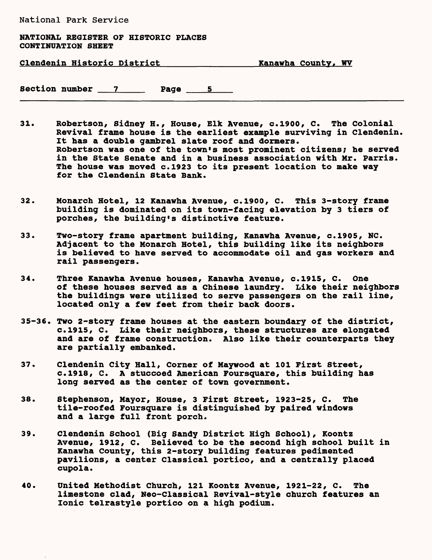## NATIONAL REGISTER OF HISTORIC PLACES CONTINUATION SHEET

Clendenin Historic District\_\_\_\_\_\_\_\_\_\_\_\_\_\_Kanawha county, WV

Section number 7 Page 5 5

- 31. Robertson, Sidney H., House, Elk Avenue, c.1900, C. The Colonial Revival frame house is the earliest example surviving in Clendenin. It has a double gambrel slate roof and dormers. Robertson was one of the town's most prominent citizens; he served in the State Senate and in a business association with Mr. Parris. The house was moved c.1923 to its present location to make way for the Clendenin State Bank.
- 32. Monarch Hotel, 12 Kanawha Avenue, c.1900, C. This 3-story frame building is dominated on its town-facing elevation by 3 tiers of porches, the building's distinctive feature.
- 33. Two-story frame apartment building, Kanawha Avenue, c.1905, NC. Adjacent to the Monarch Hotel, this building like its neighbors is believed to have served to accommodate oil and gas workers and rail passengers.
- 34. Three Kanawha Avenue houses, Kanawha Avenue, c.1915, C. One of these houses served as a Chinese laundry. Like their neighbors the buildings were utilized to serve passengers on the rail line, located only a few feet from their back doors.
- 35-36. Two 2-story frame houses at the eastern boundary of the district, c.1915, C. Like their neighbors, these structures are elongated and are of frame construction. Also like their counterparts they are partially embanked.
- 37. Clendenin City Hall, Corner of Maywood at 101 First Street, c.1918, C. A stuccoed American Foursquare, this building has long served as the center of town government.
- 38. Stephenson, Mayor, House, 3 First Street, 1923-25, C. The tile-roofed Foursquare is distinguished by paired windows and a large full front porch.
- 39. Clendenin School (Big Sandy District High School), Koontz Avenue, 1912, C. Believed to be the second high school built in Kanawha County, this 2-story building features pedimented pavilions, a center Classical portico, and a centrally placed cupola.
- 40. United Methodist Church, 121 Koontz Avenue, 1921-22, C. The limestone clad, Neo-classical Revival-style church features an Ionic telrastyle portico on a high podium.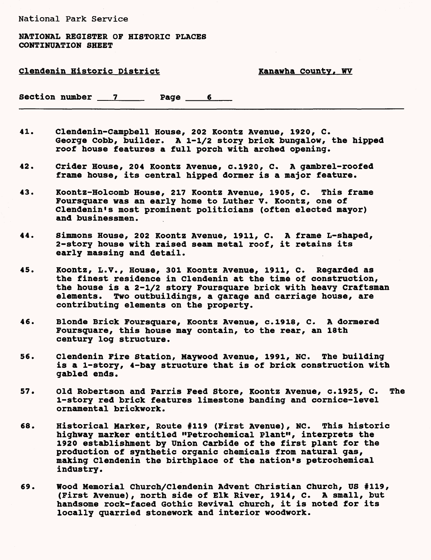## NATIONAL REGISTER OF HISTORIC PLACES CONTINUATION SHEET

# Clendenin Historic District The Manawha County, WV

Section number 7 Page 6

- 41. Clendenin-Campbell House, 202 Koontz Avenue, 1920, C. George Cobb, builder. A 1-1/2 story brick bungalow, the hipped roof house features a full porch with arched opening.
- 42. Crider House, 204 Koontz Avenue, c.1920, C. A gambrel-roofed frame house, its central hipped dormer is a major feature.
- 43. Koontz-Holcomb House, 217 Koontz Avenue, 1905, C. This frame Foursquare was an early home to Luther V. Koontz, one of Clendenin's most prominent politicians (often elected mayor) and businessmen.
- 44. simmons House, 202 Koontz Avenue, 1911, C. A frame L- shaped, 2-story house with raised seam metal roof, it retains its early massing and detail.
- 45. Koontz, L.V. , House, 301 Koontz Avenue, 1911, C. Regarded as the finest residence in Clendenin at the time of construction, the house is a 2-1/2 story Foursquare brick with heavy Craftsman elements. Two outbuildings, a garage and carriage house, are contributing elements on the property.
- 46. Blonde Brick Foursquare, Koontz Avenue, c.1918, C. A dormered Foursquare, this house may contain, to the rear, an 18th century log structure.
- 56. Clendenin Fire Station, Maywood Avenue, 1991, NC. The building is a l-story, 4 -bay structure that is of brick construction with gabled ends.
- 57. Old Robertson and Parris Feed Store, Koontz Avenue, c.1925, C. The l-story red brick features limestone banding and cornice-level ornamental brickwork.
- 68. Historical Marker, Route #119 (First Avenue), NC. This historic highway marker entitled "Petrochemical Plant", interprets the 1920 establishment by Union Carbide of the first plant for the production of synthetic organic chemicals from natural gas, making Clendenin the birthplace of the nation's petrochemical industry.
- 69. Wood Memorial Church/Clendenin Advent Christian Church, US (First Avenue), north side of Elk River, 1914, C. A small, but handsome rock-faced Gothic Revival church, it is noted for its locally quarried stonework and interior woodwork.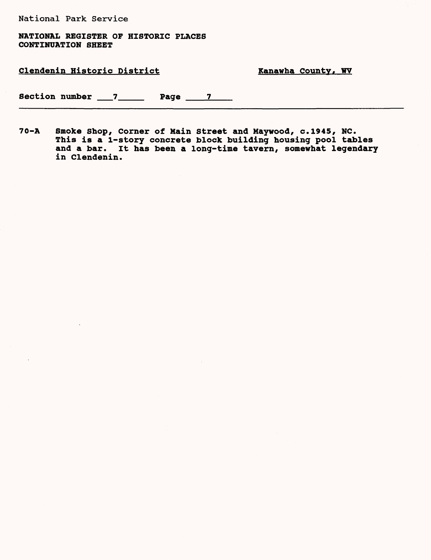NATIONAL REGISTER OF HISTORIC PLACES CONTINUATION SHEET

## Clendenin Historic District Kanawha County, WV

Section number 7 Page 7

70-A Smoke Shop, Corner of Main Street and Maywood, c.1945, NC. This is a 1-story concrete block building housing pool tables and a bar. It has been a long-time tavern, somewhat legendary in Clendenin.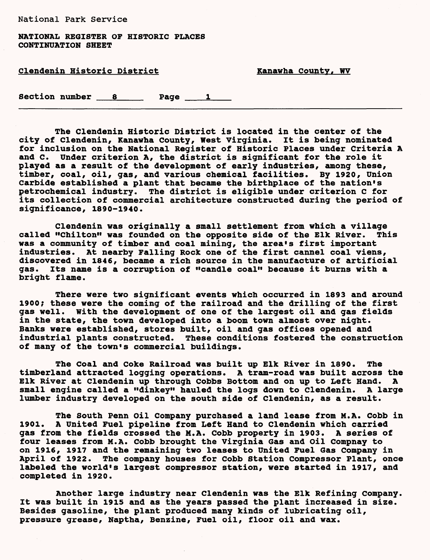NATIONAL REGISTER OF HISTORIC PLACES CONTINUATION SHEET

| Clendenin Historic District |                  |  |        | Kanawha County, WV |  |  |
|-----------------------------|------------------|--|--------|--------------------|--|--|
|                             | Section number 8 |  | Page 1 |                    |  |  |

The Clendenin Historic District is located in the center of the city of Clendenin, Kanawha County, West Virginia. It is being nominated for inclusion on the National Register of Historic Places under Criteria A and c. Under criterion A, the district is significant for the role it played as a result of the development of early industries, among these, timber, coal, oil, gas, and various chemical facilities. By 1920, Union Carbide established a plant that became the birthplace of the nation's petrochemical industry. The district is eligible under criterion C for its collection of commercial architecture constructed during the period of significance, 1890-1940.

Clendenin was originally a small settlement from which a village called "Chilton" was founded on the opposite side of the Elk River. This was a community of timber and coal mining, the area's first important industries. At nearby Falling Rock one of the first cannel coal viens, discovered in 1846, became a rich source in the manufacture of artificial gas. Its name is a corruption of "candle coal" because it burns with a bright flame.

There were two significant events which occurred in 1893 and around 1900; these were the coming of the railroad and the drilling of the first gas well, with the development of one of the largest oil and gas fields in the state, the town developed into a boom town almost over night. Banks were established, stores built, oil and gas offices opened and industrial plants constructed. These conditions fostered the construction of many of the town's commercial buildings.

The Coal and Coke Railroad was built up Elk River in 1890. The timberland attracted logging operations. A tram-road was built across the Elk River at Clendenin up through Cobbs Bottom and on up to Left Hand. A small engine called a "dinkey" hauled the logs down to Clendenin. A large lumber industry developed on the south side of Clendenin, as a result.

The South Penn Oil Company purchased a land lease from M.A. Cobb in 1901. A United Fuel pipeline from Left Hand to Clendenin which carried gas from the fields crossed the M.A. Cobb property in 1903. A series of four leases from M.A. Cobb brought the Virginia Gas and Oil Compnay to on 1916, 1917 and the remaining two leases to United Fuel Gas Company in April of 1922. The company houses for Cobb Station Compressor Plant, once labeled the world's largest compressor station, were started in 1917, and completed in 1920.

Another large industry near Clendenin was the Elk Refining company. It was built in 1915 and as the years passed the plant increased in size. Besides gasoline, the plant produced many kinds of lubricating oil, pressure grease, Naptha, Benzine, Fuel oil, floor oil and wax.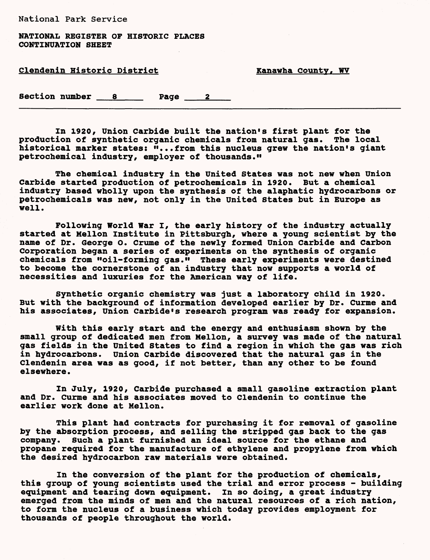NATIONAL REGISTER OF HISTORIC PLACES **CONTINUATION SHEET** 

| <u>Clendenin Historic District</u> |  | Kanawha County, WV |  |
|------------------------------------|--|--------------------|--|
|                                    |  |                    |  |

Section number 8 Page 2

In 1920, Union Carbide built the nation's first plant for the production of synthetic organic chemicals from natural gas. The local historical marker states: "...from this nucleus grew the nation's giant petrochemical industry, employer of thousands."

The chemical industry in the United States was not new when Union Carbide started production of petrochemicals in 1920. But a chemical industry based wholly upon the synthesis of the alaphatic hydrocarbons or petrochemicals was new, not only in the United States but in Europe as well.

Following World War I, the early history of the industry actually started at Mellon Institute in Pittsburgh, where a young scientist by the name of Dr. George O. Grume of the newly formed Union Carbide and Carbon Corporation began a series of experiments on the synthesis of organic chemicals from "oil-forming gas." These early experiments were destined to become the cornerstone of an industry that now supports a world of necessities and luxuries for the American way of life.

Synthetic organic chemistry was just a laboratory child in 1920. But with the background of information developed earlier by Dr. Curme and his associates, Union Carbide's research program was ready for expansion.

With this early start and the energy and enthusiasm shown by the small group of dedicated men from Mellon, a survey was made of the natural gas fields in the United States to find a region in which the gas was rich in hydrocarbons. Union Carbide discovered that the natural gas in the Clendenin area was as good, if not better, than any other to be found elsewhere.

In July, 1920, Carbide purchased a small gasoline extraction plant and Dr. Curme and his associates moved to Clendenin to continue the earlier work done at Mellon.

This plant had contracts for purchasing it for removal of gasoline by the absorption process, and selling the stripped gas back to the gas company. Such a plant furnished an ideal source for the ethane and propane required for the manufacture of ethylene and propylene from which the desired hydrocarbon raw materials were obtained.

In the conversion of the plant for the production of chemicals, this group of young scientists used the trial and error process - building equipment and tearing down equipment. In so doing, a great industry emerged from the minds of men and the natural resources of a rich nation, to form the nucleus of a business which today provides employment for thousands of people throughout the world.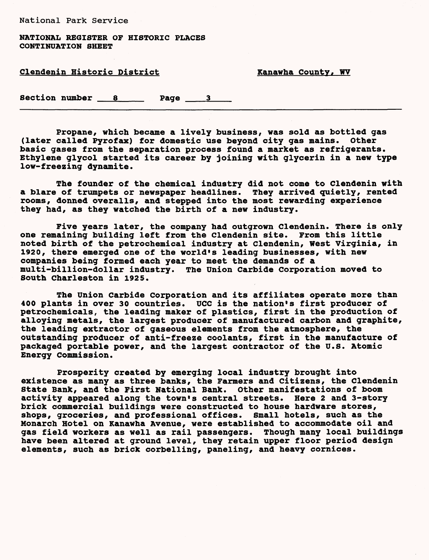**NATIONAL REGISTER OF HISTORIC PLACES CONTINUATION SHEET**

Clendenin Historic District Nanawha County, WV

Section number 8 Page 3

**Propane, which became a lively business, was sold as bottled gas (later called Pyrofax) for domestic use beyond city gas mains. Other basic gases from the separation process found a market as refrigerants. Ethylene glycol started its career by joining with glycerin in a new type low-freezing dynamite.**

The founder of the chemical industry did not come to Clendenin with a blare of trumpets or newspaper headlines. They arrived quietly, rented rooms, donned overalls, and stepped into the most rewarding experience they had, as they watched the birth of a new industry.

Five years later, the company had outgrown Clendenin. There is only one remaining building left from the Clendenin site. From this little noted birth of the petrochemical industry at Clendenin, West Virginia, in 1920, there emerged one of the world's leading businesses, with new companies being formed each year to meet the demands of a multi-billion-dollar industry. The Union Carbide Corporation moved to South Charleston in 1925.

The Union Carbide Corporation and its affiliates operate more than 400 plants in over 30 countries. UCC is the nation's first producer of petrochemicals, the leading maker of plastics, first in the production of alloying metals, the largest producer of manufactured carbon and graphite, the leading extractor of gaseous elements from the atmosphere, the outstanding producer of anti-freeze coolants, first in the manufacture of packaged portable power, and the largest contractor of the U.S. Atomic Energy Commission.

Prosperity created by emerging local industry brought into existence as many as three banks, the Farmers and Citizens, the Clendenin State Bank, and the First National Bank. Other manifestations of boom activity appeared along the town's central streets. Here 2 and 3-story brick commercial buildings were constructed to house hardware stores, shops, groceries, and professional offices. Small hotels, such as the Monarch Hotel on Kanawha Avenue, were established to accommodate oil and gas field workers as well as rail passengers. Though many local buildings have been altered at ground level, they retain upper floor period design elements, such as brick corbelling, paneling, and heavy cornices.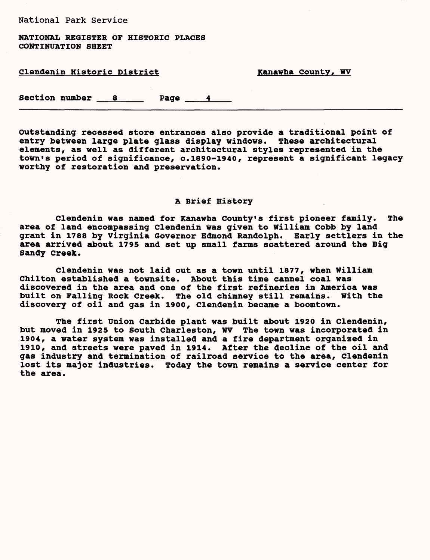NATIONAL REGISTER OF HISTORIC PLACES CONTINUATION SHEET

| <b>Clendenin Historic District</b> |                  |  |      | Kanawha County, WV |  |
|------------------------------------|------------------|--|------|--------------------|--|
|                                    | Section number 8 |  | Page |                    |  |

Outstanding recessed store entrances also provide a traditional point of entry between large plate glass display windows. These architectural elements, as well as different architectural styles represented in the town's period of significance, c.1890-1940, represent a significant legacy worthy of restoration and preservation.

# A Brief History

Clendenin was named for Kanawha County's first pioneer family. The area of land encompassing Clendenin was given to William Cobb by land grant in 1788 by Virginia Governor Edmond Randolph. Early settlers in the area arrived about 1795 and set up small farms scattered around the Big Sandy Creek.

Clendenin was not laid out as a town until 1877, when William Chilton established a townsite. About this time cannel coal was discovered in the area and one of the first refineries in America was built on Falling Rock Creek. The old chimney still remains. With the discovery of oil and gas in 1900, Clendenin became a boomtown.

The first Union Carbide plant was built about 1920 in Clendenin, but moved in 1925 to South Charleston, WV The town was incorporated in 1904, a water system was installed and a fire department organized in 1910, and streets were paved in 1914. After the decline of the oil and gas industry and termination of railroad service to the area, Clendenin lost its major industries. Today the town remains a service center for the area.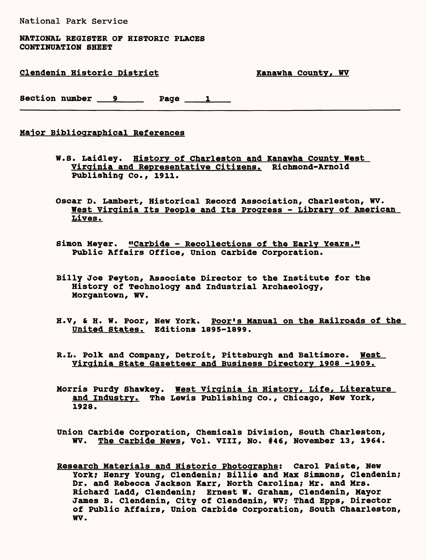NATIONAL REGISTER OF HISTORIC PLACES CONTINUATION SHEET

Clendenin Historic District Nanawha County, WV

Section number 9 Page 1

# Maior Bibliographical References

- W.S. Laidley. History of Charleston and Kanawha county West Virginia and Representative Citizens. Richmond-Arnold Publishing Co., 1911.
- Oscar D. Lambert, Historical Record Association, Charleston, WV. West Virginia Its People and Its Progress - Library of American Lives.
- Simon Meyer. "Carbide Recollections of the Early Years." Public Affairs Office, Union Carbide Corporation.
- Billy Joe Peyton, Associate Director to the Institute for the History of Technology and Industrial Archaeology, Morgantown, WV.
- H.V, & H. W. Poor, New York. Poor's Manual on the Railroads of the United States. Editions 1895-1899.
- R.L. Polk and Company, Detroit, Pittsburgh and Baltimore. West Virginia State Gazetteer and Business Directory 1908 -1909.
- Morris Purdy Shawkey. West Virginia in History, Life, Literature and Industry. The Lewis Publishing Co., Chicago, New York, 1928.
- Union Carbide Corporation, Chemicals Division, South Charleston, WV. The Carbide News, Vol. VIII, No. #46, November 13, 1964.
- Research Materials and Historic Photographs; Carol Paiste, New York; Henry Young, Clendenin; Billie and Max Simmons, Clendenin; Dr. and Rebecca Jackson Karr, North Carolina; Mr. and Mrs. Richard Ladd, Clendenin; Ernest W. Graham, Clendenin, Mayor James B. Clendenin, City of Clendenin, WV; Thad Epps, Director of Public Affairs, Union Carbide Corporation, South Chaarleston, WV.